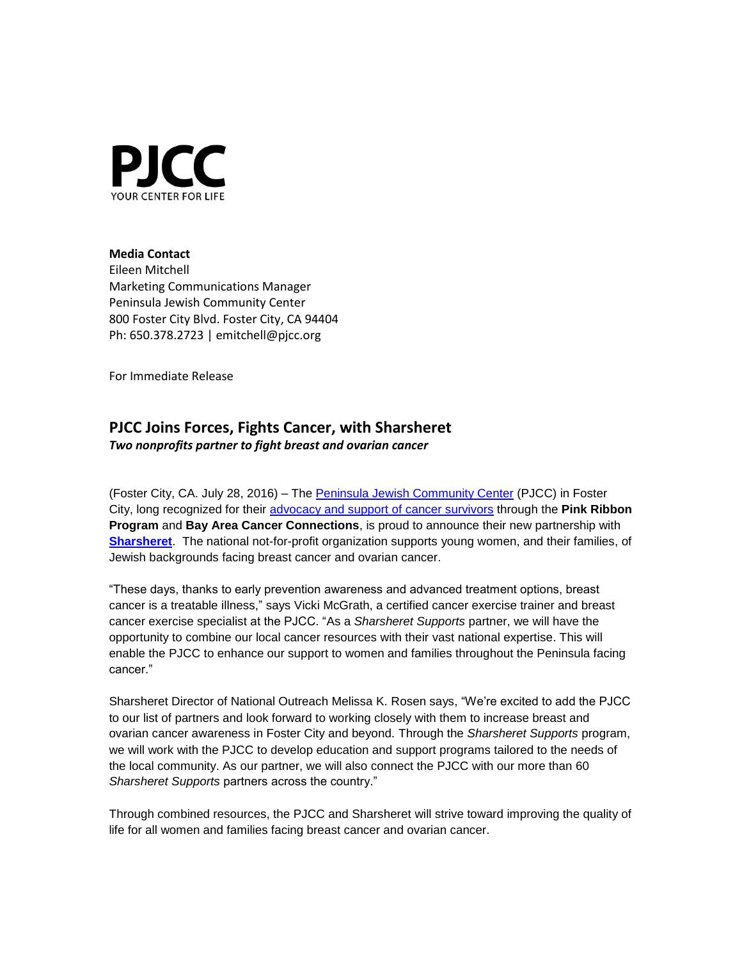

## **Media Contact**

Eileen Mitchell Marketing Communications Manager Peninsula Jewish Community Center 800 Foster City Blvd. Foster City, CA 94404 Ph: 650.378.2723 | emitchell@pjcc.org

For Immediate Release

## **PJCC Joins Forces, Fights Cancer, with Sharsheret**

*Two nonprofits partner to fight breast and ovarian cancer*

(Foster City, CA. July 28, 2016) – The [Peninsula Jewish Community Center](http://www.pjcc.org/) (PJCC) in Foster City, long recognized for their [advocacy and support of cancer survivors](http://www.pjcc.org/pink) through the **Pink Ribbon Program** and **Bay Area Cancer Connections**, is proud to announce their new partnership with **[Sharsheret](http://www.sharsheret.org/)**. The national not-for-profit organization supports young women, and their families, of Jewish backgrounds facing breast cancer and ovarian cancer.

"These days, thanks to early prevention awareness and advanced treatment options, breast cancer is a treatable illness," says Vicki McGrath, a certified cancer exercise trainer and breast cancer exercise specialist at the PJCC. "As a *Sharsheret Supports* partner, we will have the opportunity to combine our local cancer resources with their vast national expertise. This will enable the PJCC to enhance our support to women and families throughout the Peninsula facing cancer."

Sharsheret Director of National Outreach Melissa K. Rosen says, "We're excited to add the PJCC to our list of partners and look forward to working closely with them to increase breast and ovarian cancer awareness in Foster City and beyond. Through the *Sharsheret Supports* program, we will work with the PJCC to develop education and support programs tailored to the needs of the local community. As our partner, we will also connect the PJCC with our more than 60 *Sharsheret Supports* partners across the country."

Through combined resources, the PJCC and Sharsheret will strive toward improving the quality of life for all women and families facing breast cancer and ovarian cancer.